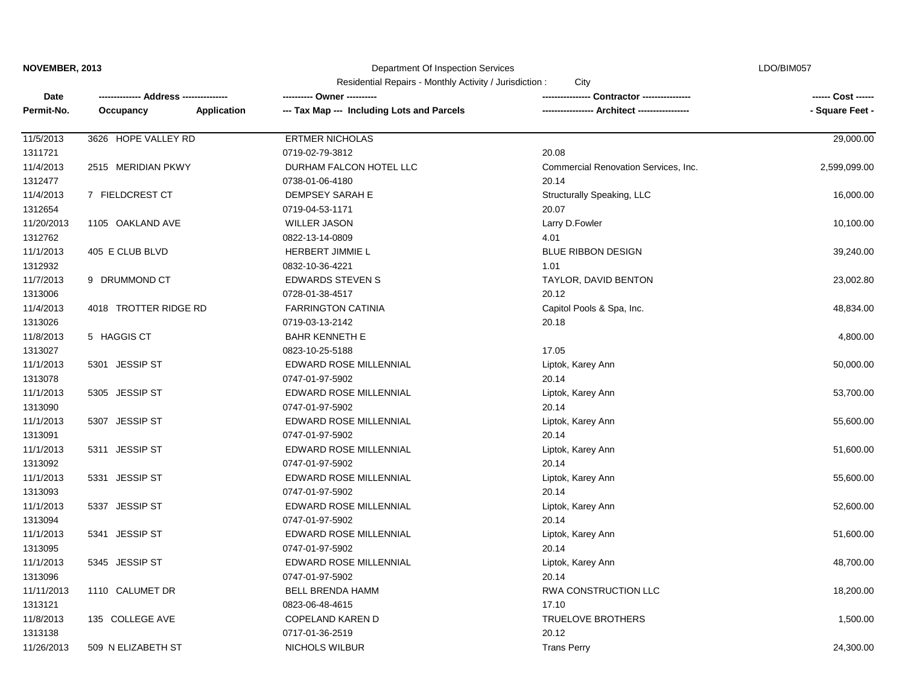| NOVEMBER, 2013 |                       |                    | Department Of Inspection Services                              |                                      | LDO/BIM057         |  |
|----------------|-----------------------|--------------------|----------------------------------------------------------------|--------------------------------------|--------------------|--|
|                |                       |                    | Residential Repairs - Monthly Activity / Jurisdiction:<br>City |                                      |                    |  |
| Date           |                       |                    | ---------- Owner ----------                                    | Contractor ----------------          | ------ Cost ------ |  |
| Permit-No.     | Occupancy             | <b>Application</b> | --- Tax Map --- Including Lots and Parcels                     | -- Architect ---                     | - Square Feet -    |  |
| 11/5/2013      | 3626 HOPE VALLEY RD   |                    | <b>ERTMER NICHOLAS</b>                                         |                                      | 29,000.00          |  |
| 1311721        |                       |                    | 0719-02-79-3812                                                | 20.08                                |                    |  |
| 11/4/2013      | 2515 MERIDIAN PKWY    |                    | DURHAM FALCON HOTEL LLC                                        | Commercial Renovation Services, Inc. | 2,599,099.00       |  |
| 1312477        |                       |                    | 0738-01-06-4180                                                | 20.14                                |                    |  |
| 11/4/2013      | 7 FIELDCREST CT       |                    | DEMPSEY SARAH E                                                | Structurally Speaking, LLC           | 16,000.00          |  |
| 1312654        |                       |                    | 0719-04-53-1171                                                | 20.07                                |                    |  |
| 11/20/2013     | 1105 OAKLAND AVE      |                    | <b>WILLER JASON</b>                                            | Larry D.Fowler                       | 10,100.00          |  |
| 1312762        |                       |                    | 0822-13-14-0809                                                | 4.01                                 |                    |  |
| 11/1/2013      | 405 E CLUB BLVD       |                    | HERBERT JIMMIE L                                               | <b>BLUE RIBBON DESIGN</b>            | 39,240.00          |  |
| 1312932        |                       |                    | 0832-10-36-4221                                                | 1.01                                 |                    |  |
| 11/7/2013      | 9 DRUMMOND CT         |                    | <b>EDWARDS STEVEN S</b>                                        | TAYLOR, DAVID BENTON                 | 23,002.80          |  |
| 1313006        |                       |                    | 0728-01-38-4517                                                | 20.12                                |                    |  |
| 11/4/2013      | 4018 TROTTER RIDGE RD |                    | <b>FARRINGTON CATINIA</b>                                      | Capitol Pools & Spa, Inc.            | 48,834.00          |  |
| 1313026        |                       |                    | 0719-03-13-2142                                                | 20.18                                |                    |  |
| 11/8/2013      | 5 HAGGIS CT           |                    | <b>BAHR KENNETH E</b>                                          |                                      | 4,800.00           |  |
| 1313027        |                       |                    | 0823-10-25-5188                                                | 17.05                                |                    |  |
| 11/1/2013      | 5301 JESSIP ST        |                    | EDWARD ROSE MILLENNIAL                                         | Liptok, Karey Ann                    | 50,000.00          |  |
| 1313078        |                       |                    | 0747-01-97-5902                                                | 20.14                                |                    |  |
| 11/1/2013      | 5305 JESSIP ST        |                    | EDWARD ROSE MILLENNIAL                                         | Liptok, Karey Ann                    | 53,700.00          |  |
| 1313090        |                       |                    | 0747-01-97-5902                                                | 20.14                                |                    |  |
| 11/1/2013      | 5307 JESSIP ST        |                    | EDWARD ROSE MILLENNIAL                                         | Liptok, Karey Ann                    | 55,600.00          |  |
| 1313091        |                       |                    | 0747-01-97-5902                                                | 20.14                                |                    |  |
| 11/1/2013      | 5311 JESSIP ST        |                    | EDWARD ROSE MILLENNIAL                                         | Liptok, Karey Ann                    | 51,600.00          |  |
| 1313092        |                       |                    | 0747-01-97-5902                                                | 20.14                                |                    |  |
| 11/1/2013      | 5331 JESSIP ST        |                    | EDWARD ROSE MILLENNIAL                                         | Liptok, Karey Ann                    | 55,600.00          |  |
| 1313093        |                       |                    | 0747-01-97-5902                                                | 20.14                                |                    |  |
| 11/1/2013      | 5337 JESSIP ST        |                    | EDWARD ROSE MILLENNIAL                                         | Liptok, Karey Ann                    | 52,600.00          |  |
| 1313094        |                       |                    | 0747-01-97-5902                                                | 20.14                                |                    |  |
| 11/1/2013      | 5341 JESSIP ST        |                    | EDWARD ROSE MILLENNIAL                                         | Liptok, Karey Ann                    | 51,600.00          |  |
| 1313095        |                       |                    | 0747-01-97-5902                                                | 20.14                                |                    |  |
| 11/1/2013      | 5345 JESSIP ST        |                    | EDWARD ROSE MILLENNIAL                                         | Liptok, Karey Ann                    | 48,700.00          |  |
| 1313096        |                       |                    | 0747-01-97-5902                                                | 20.14                                |                    |  |
| 11/11/2013     | 1110 CALUMET DR       |                    | <b>BELL BRENDA HAMM</b>                                        | RWA CONSTRUCTION LLC                 | 18,200.00          |  |
| 1313121        |                       |                    | 0823-06-48-4615                                                | 17.10                                |                    |  |
| 11/8/2013      | 135 COLLEGE AVE       |                    | COPELAND KAREN D                                               | <b>TRUELOVE BROTHERS</b>             | 1,500.00           |  |
| 1313138        |                       |                    | 0717-01-36-2519                                                | 20.12                                |                    |  |
| 11/26/2013     | 509 N ELIZABETH ST    |                    | NICHOLS WILBUR                                                 | <b>Trans Perry</b>                   | 24,300.00          |  |

Department Of Inspection Services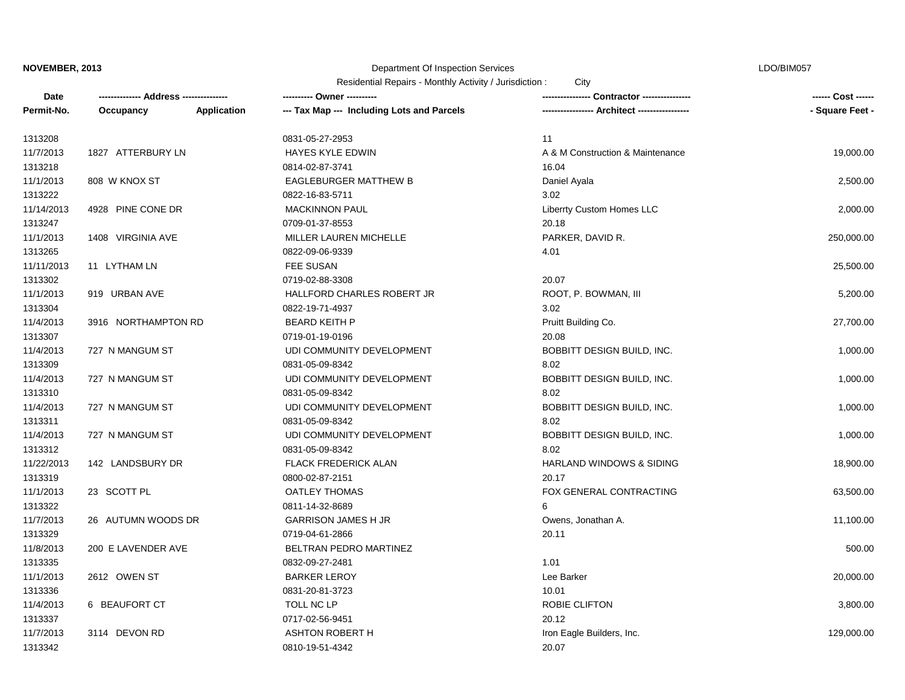#### Department Of Inspection Services

LDO/BIM057

Residential Repairs - Monthly Activity / Jurisdiction : City

| Date       |                     |             | ---------- Owner ----------                |                                  | ------ Cost ------ |
|------------|---------------------|-------------|--------------------------------------------|----------------------------------|--------------------|
| Permit-No. | Occupancy           | Application | --- Tax Map --- Including Lots and Parcels | --- Architect --------------     | - Square Feet -    |
| 1313208    |                     |             | 0831-05-27-2953                            | 11                               |                    |
| 11/7/2013  | 1827 ATTERBURY LN   |             | HAYES KYLE EDWIN                           | A & M Construction & Maintenance | 19,000.00          |
| 1313218    |                     |             | 0814-02-87-3741                            | 16.04                            |                    |
| 11/1/2013  | 808 W KNOX ST       |             | <b>EAGLEBURGER MATTHEW B</b>               | Daniel Ayala                     | 2,500.00           |
| 1313222    |                     |             | 0822-16-83-5711                            | 3.02                             |                    |
| 11/14/2013 | 4928 PINE CONE DR   |             | <b>MACKINNON PAUL</b>                      | Liberrty Custom Homes LLC        | 2,000.00           |
| 1313247    |                     |             | 0709-01-37-8553                            | 20.18                            |                    |
| 11/1/2013  | 1408 VIRGINIA AVE   |             | MILLER LAUREN MICHELLE                     | PARKER, DAVID R.                 | 250,000.00         |
| 1313265    |                     |             | 0822-09-06-9339                            | 4.01                             |                    |
| 11/11/2013 | 11 LYTHAM LN        |             | <b>FEE SUSAN</b>                           |                                  | 25,500.00          |
| 1313302    |                     |             | 0719-02-88-3308                            | 20.07                            |                    |
| 11/1/2013  | 919 URBAN AVE       |             | HALLFORD CHARLES ROBERT JR                 | ROOT, P. BOWMAN, III             | 5,200.00           |
| 1313304    |                     |             | 0822-19-71-4937                            | 3.02                             |                    |
| 11/4/2013  | 3916 NORTHAMPTON RD |             | <b>BEARD KEITH P</b>                       | Pruitt Building Co.              | 27,700.00          |
| 1313307    |                     |             | 0719-01-19-0196                            | 20.08                            |                    |
| 11/4/2013  | 727 N MANGUM ST     |             | UDI COMMUNITY DEVELOPMENT                  | BOBBITT DESIGN BUILD, INC.       | 1,000.00           |
| 1313309    |                     |             | 0831-05-09-8342                            | 8.02                             |                    |
| 11/4/2013  | 727 N MANGUM ST     |             | UDI COMMUNITY DEVELOPMENT                  | BOBBITT DESIGN BUILD, INC.       | 1,000.00           |
| 1313310    |                     |             | 0831-05-09-8342                            | 8.02                             |                    |
| 11/4/2013  | 727 N MANGUM ST     |             | UDI COMMUNITY DEVELOPMENT                  | BOBBITT DESIGN BUILD, INC.       | 1,000.00           |
| 1313311    |                     |             | 0831-05-09-8342                            | 8.02                             |                    |
| 11/4/2013  | 727 N MANGUM ST     |             | UDI COMMUNITY DEVELOPMENT                  | BOBBITT DESIGN BUILD, INC.       | 1,000.00           |
| 1313312    |                     |             | 0831-05-09-8342                            | 8.02                             |                    |
| 11/22/2013 | 142 LANDSBURY DR    |             | <b>FLACK FREDERICK ALAN</b>                | HARLAND WINDOWS & SIDING         | 18,900.00          |
| 1313319    |                     |             | 0800-02-87-2151                            | 20.17                            |                    |
| 11/1/2013  | 23 SCOTT PL         |             | <b>OATLEY THOMAS</b>                       | FOX GENERAL CONTRACTING          | 63,500.00          |
| 1313322    |                     |             | 0811-14-32-8689                            | 6                                |                    |
| 11/7/2013  | 26 AUTUMN WOODS DR  |             | <b>GARRISON JAMES H JR</b>                 | Owens, Jonathan A.               | 11,100.00          |
| 1313329    |                     |             | 0719-04-61-2866                            | 20.11                            |                    |
| 11/8/2013  | 200 E LAVENDER AVE  |             | BELTRAN PEDRO MARTINEZ                     |                                  | 500.00             |
| 1313335    |                     |             | 0832-09-27-2481                            | 1.01                             |                    |
| 11/1/2013  | 2612 OWEN ST        |             | <b>BARKER LEROY</b>                        | Lee Barker                       | 20,000.00          |
| 1313336    |                     |             | 0831-20-81-3723                            | 10.01                            |                    |
| 11/4/2013  | 6 BEAUFORT CT       |             | TOLL NC LP                                 | ROBIE CLIFTON                    | 3,800.00           |
| 1313337    |                     |             | 0717-02-56-9451                            | 20.12                            |                    |
| 11/7/2013  | 3114 DEVON RD       |             | <b>ASHTON ROBERT H</b>                     | Iron Eagle Builders, Inc.        | 129,000.00         |
| 1313342    |                     |             | 0810-19-51-4342                            | 20.07                            |                    |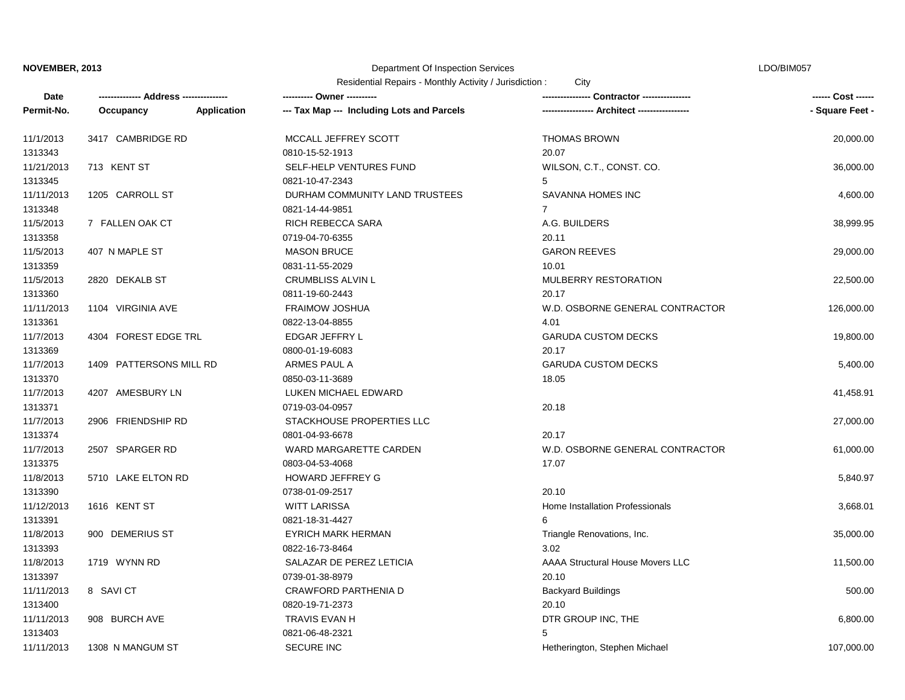# Department Of Inspection Services

| Residential Repairs - Monthly Activity / Jurisdiction : | City |
|---------------------------------------------------------|------|
|---------------------------------------------------------|------|

| Permit-No.<br>Application<br>--- Tax Map --- Including Lots and Parcels<br>---------------- Architect -----------------<br>Occupancy<br>3417 CAMBRIDGE RD<br>MCCALL JEFFREY SCOTT<br><b>THOMAS BROWN</b><br>11/1/2013<br>1313343<br>0810-15-52-1913<br>20.07<br>11/21/2013<br>713 KENT ST<br>SELF-HELP VENTURES FUND<br>WILSON, C.T., CONST. CO.<br>1313345<br>0821-10-47-2343<br>5<br>11/11/2013<br>1205 CARROLL ST<br>DURHAM COMMUNITY LAND TRUSTEES<br>SAVANNA HOMES INC<br>1313348<br>0821-14-44-9851<br>$\overline{7}$<br>11/5/2013<br>RICH REBECCA SARA<br>A.G. BUILDERS<br>7 FALLEN OAK CT<br>1313358<br>0719-04-70-6355<br>20.11<br>11/5/2013<br><b>MASON BRUCE</b><br><b>GARON REEVES</b><br>407 N MAPLE ST<br>1313359<br>0831-11-55-2029<br>10.01<br>11/5/2013<br>2820 DEKALB ST<br><b>CRUMBLISS ALVIN L</b><br>MULBERRY RESTORATION<br>1313360<br>0811-19-60-2443<br>20.17<br>11/11/2013<br>1104 VIRGINIA AVE<br><b>FRAIMOW JOSHUA</b><br>W.D. OSBORNE GENERAL CONTRACTOR<br>1313361<br>0822-13-04-8855<br>4.01<br>11/7/2013<br>4304 FOREST EDGE TRL<br>EDGAR JEFFRY L<br><b>GARUDA CUSTOM DECKS</b><br>1313369<br>20.17<br>0800-01-19-6083<br>1409 PATTERSONS MILL RD<br>ARMES PAUL A<br><b>GARUDA CUSTOM DECKS</b><br>11/7/2013<br>1313370<br>0850-03-11-3689<br>18.05<br>4207 AMESBURY LN<br>11/7/2013<br>LUKEN MICHAEL EDWARD<br>20.18<br>1313371<br>0719-03-04-0957<br>11/7/2013<br>2906 FRIENDSHIP RD<br>STACKHOUSE PROPERTIES LLC<br>1313374<br>0801-04-93-6678<br>20.17<br>11/7/2013<br>W.D. OSBORNE GENERAL CONTRACTOR<br>2507 SPARGER RD<br>WARD MARGARETTE CARDEN<br>17.07<br>1313375<br>0803-04-53-4068<br>11/8/2013<br>5710 LAKE ELTON RD<br>HOWARD JEFFREY G<br>1313390<br>0738-01-09-2517<br>20.10<br>11/12/2013<br>1616 KENT ST<br><b>WITT LARISSA</b><br>Home Installation Professionals<br>1313391<br>6<br>0821-18-31-4427<br>11/8/2013<br>Triangle Renovations, Inc.<br>900 DEMERIUS ST<br><b>EYRICH MARK HERMAN</b><br>3.02<br>1313393<br>0822-16-73-8464<br>11/8/2013<br>1719 WYNN RD<br>SALAZAR DE PEREZ LETICIA<br><b>AAAA Structural House Movers LLC</b><br>1313397<br>0739-01-38-8979<br>20.10 | ------ Cost ------ |
|-------------------------------------------------------------------------------------------------------------------------------------------------------------------------------------------------------------------------------------------------------------------------------------------------------------------------------------------------------------------------------------------------------------------------------------------------------------------------------------------------------------------------------------------------------------------------------------------------------------------------------------------------------------------------------------------------------------------------------------------------------------------------------------------------------------------------------------------------------------------------------------------------------------------------------------------------------------------------------------------------------------------------------------------------------------------------------------------------------------------------------------------------------------------------------------------------------------------------------------------------------------------------------------------------------------------------------------------------------------------------------------------------------------------------------------------------------------------------------------------------------------------------------------------------------------------------------------------------------------------------------------------------------------------------------------------------------------------------------------------------------------------------------------------------------------------------------------------------------------------------------------------------------------------------------------------------------------------------------------------------------------------------------------------------------------------------------------------------------------------------------------|--------------------|
|                                                                                                                                                                                                                                                                                                                                                                                                                                                                                                                                                                                                                                                                                                                                                                                                                                                                                                                                                                                                                                                                                                                                                                                                                                                                                                                                                                                                                                                                                                                                                                                                                                                                                                                                                                                                                                                                                                                                                                                                                                                                                                                                     | - Square Feet -    |
|                                                                                                                                                                                                                                                                                                                                                                                                                                                                                                                                                                                                                                                                                                                                                                                                                                                                                                                                                                                                                                                                                                                                                                                                                                                                                                                                                                                                                                                                                                                                                                                                                                                                                                                                                                                                                                                                                                                                                                                                                                                                                                                                     | 20,000.00          |
|                                                                                                                                                                                                                                                                                                                                                                                                                                                                                                                                                                                                                                                                                                                                                                                                                                                                                                                                                                                                                                                                                                                                                                                                                                                                                                                                                                                                                                                                                                                                                                                                                                                                                                                                                                                                                                                                                                                                                                                                                                                                                                                                     |                    |
|                                                                                                                                                                                                                                                                                                                                                                                                                                                                                                                                                                                                                                                                                                                                                                                                                                                                                                                                                                                                                                                                                                                                                                                                                                                                                                                                                                                                                                                                                                                                                                                                                                                                                                                                                                                                                                                                                                                                                                                                                                                                                                                                     | 36,000.00          |
|                                                                                                                                                                                                                                                                                                                                                                                                                                                                                                                                                                                                                                                                                                                                                                                                                                                                                                                                                                                                                                                                                                                                                                                                                                                                                                                                                                                                                                                                                                                                                                                                                                                                                                                                                                                                                                                                                                                                                                                                                                                                                                                                     |                    |
|                                                                                                                                                                                                                                                                                                                                                                                                                                                                                                                                                                                                                                                                                                                                                                                                                                                                                                                                                                                                                                                                                                                                                                                                                                                                                                                                                                                                                                                                                                                                                                                                                                                                                                                                                                                                                                                                                                                                                                                                                                                                                                                                     | 4,600.00           |
|                                                                                                                                                                                                                                                                                                                                                                                                                                                                                                                                                                                                                                                                                                                                                                                                                                                                                                                                                                                                                                                                                                                                                                                                                                                                                                                                                                                                                                                                                                                                                                                                                                                                                                                                                                                                                                                                                                                                                                                                                                                                                                                                     |                    |
|                                                                                                                                                                                                                                                                                                                                                                                                                                                                                                                                                                                                                                                                                                                                                                                                                                                                                                                                                                                                                                                                                                                                                                                                                                                                                                                                                                                                                                                                                                                                                                                                                                                                                                                                                                                                                                                                                                                                                                                                                                                                                                                                     | 38,999.95          |
|                                                                                                                                                                                                                                                                                                                                                                                                                                                                                                                                                                                                                                                                                                                                                                                                                                                                                                                                                                                                                                                                                                                                                                                                                                                                                                                                                                                                                                                                                                                                                                                                                                                                                                                                                                                                                                                                                                                                                                                                                                                                                                                                     |                    |
|                                                                                                                                                                                                                                                                                                                                                                                                                                                                                                                                                                                                                                                                                                                                                                                                                                                                                                                                                                                                                                                                                                                                                                                                                                                                                                                                                                                                                                                                                                                                                                                                                                                                                                                                                                                                                                                                                                                                                                                                                                                                                                                                     | 29,000.00          |
|                                                                                                                                                                                                                                                                                                                                                                                                                                                                                                                                                                                                                                                                                                                                                                                                                                                                                                                                                                                                                                                                                                                                                                                                                                                                                                                                                                                                                                                                                                                                                                                                                                                                                                                                                                                                                                                                                                                                                                                                                                                                                                                                     |                    |
|                                                                                                                                                                                                                                                                                                                                                                                                                                                                                                                                                                                                                                                                                                                                                                                                                                                                                                                                                                                                                                                                                                                                                                                                                                                                                                                                                                                                                                                                                                                                                                                                                                                                                                                                                                                                                                                                                                                                                                                                                                                                                                                                     | 22,500.00          |
|                                                                                                                                                                                                                                                                                                                                                                                                                                                                                                                                                                                                                                                                                                                                                                                                                                                                                                                                                                                                                                                                                                                                                                                                                                                                                                                                                                                                                                                                                                                                                                                                                                                                                                                                                                                                                                                                                                                                                                                                                                                                                                                                     |                    |
|                                                                                                                                                                                                                                                                                                                                                                                                                                                                                                                                                                                                                                                                                                                                                                                                                                                                                                                                                                                                                                                                                                                                                                                                                                                                                                                                                                                                                                                                                                                                                                                                                                                                                                                                                                                                                                                                                                                                                                                                                                                                                                                                     | 126,000.00         |
|                                                                                                                                                                                                                                                                                                                                                                                                                                                                                                                                                                                                                                                                                                                                                                                                                                                                                                                                                                                                                                                                                                                                                                                                                                                                                                                                                                                                                                                                                                                                                                                                                                                                                                                                                                                                                                                                                                                                                                                                                                                                                                                                     |                    |
|                                                                                                                                                                                                                                                                                                                                                                                                                                                                                                                                                                                                                                                                                                                                                                                                                                                                                                                                                                                                                                                                                                                                                                                                                                                                                                                                                                                                                                                                                                                                                                                                                                                                                                                                                                                                                                                                                                                                                                                                                                                                                                                                     | 19,800.00          |
|                                                                                                                                                                                                                                                                                                                                                                                                                                                                                                                                                                                                                                                                                                                                                                                                                                                                                                                                                                                                                                                                                                                                                                                                                                                                                                                                                                                                                                                                                                                                                                                                                                                                                                                                                                                                                                                                                                                                                                                                                                                                                                                                     |                    |
|                                                                                                                                                                                                                                                                                                                                                                                                                                                                                                                                                                                                                                                                                                                                                                                                                                                                                                                                                                                                                                                                                                                                                                                                                                                                                                                                                                                                                                                                                                                                                                                                                                                                                                                                                                                                                                                                                                                                                                                                                                                                                                                                     | 5,400.00           |
|                                                                                                                                                                                                                                                                                                                                                                                                                                                                                                                                                                                                                                                                                                                                                                                                                                                                                                                                                                                                                                                                                                                                                                                                                                                                                                                                                                                                                                                                                                                                                                                                                                                                                                                                                                                                                                                                                                                                                                                                                                                                                                                                     |                    |
|                                                                                                                                                                                                                                                                                                                                                                                                                                                                                                                                                                                                                                                                                                                                                                                                                                                                                                                                                                                                                                                                                                                                                                                                                                                                                                                                                                                                                                                                                                                                                                                                                                                                                                                                                                                                                                                                                                                                                                                                                                                                                                                                     | 41,458.91          |
|                                                                                                                                                                                                                                                                                                                                                                                                                                                                                                                                                                                                                                                                                                                                                                                                                                                                                                                                                                                                                                                                                                                                                                                                                                                                                                                                                                                                                                                                                                                                                                                                                                                                                                                                                                                                                                                                                                                                                                                                                                                                                                                                     |                    |
|                                                                                                                                                                                                                                                                                                                                                                                                                                                                                                                                                                                                                                                                                                                                                                                                                                                                                                                                                                                                                                                                                                                                                                                                                                                                                                                                                                                                                                                                                                                                                                                                                                                                                                                                                                                                                                                                                                                                                                                                                                                                                                                                     | 27,000.00          |
|                                                                                                                                                                                                                                                                                                                                                                                                                                                                                                                                                                                                                                                                                                                                                                                                                                                                                                                                                                                                                                                                                                                                                                                                                                                                                                                                                                                                                                                                                                                                                                                                                                                                                                                                                                                                                                                                                                                                                                                                                                                                                                                                     |                    |
|                                                                                                                                                                                                                                                                                                                                                                                                                                                                                                                                                                                                                                                                                                                                                                                                                                                                                                                                                                                                                                                                                                                                                                                                                                                                                                                                                                                                                                                                                                                                                                                                                                                                                                                                                                                                                                                                                                                                                                                                                                                                                                                                     | 61,000.00          |
|                                                                                                                                                                                                                                                                                                                                                                                                                                                                                                                                                                                                                                                                                                                                                                                                                                                                                                                                                                                                                                                                                                                                                                                                                                                                                                                                                                                                                                                                                                                                                                                                                                                                                                                                                                                                                                                                                                                                                                                                                                                                                                                                     |                    |
|                                                                                                                                                                                                                                                                                                                                                                                                                                                                                                                                                                                                                                                                                                                                                                                                                                                                                                                                                                                                                                                                                                                                                                                                                                                                                                                                                                                                                                                                                                                                                                                                                                                                                                                                                                                                                                                                                                                                                                                                                                                                                                                                     | 5,840.97           |
|                                                                                                                                                                                                                                                                                                                                                                                                                                                                                                                                                                                                                                                                                                                                                                                                                                                                                                                                                                                                                                                                                                                                                                                                                                                                                                                                                                                                                                                                                                                                                                                                                                                                                                                                                                                                                                                                                                                                                                                                                                                                                                                                     |                    |
|                                                                                                                                                                                                                                                                                                                                                                                                                                                                                                                                                                                                                                                                                                                                                                                                                                                                                                                                                                                                                                                                                                                                                                                                                                                                                                                                                                                                                                                                                                                                                                                                                                                                                                                                                                                                                                                                                                                                                                                                                                                                                                                                     | 3,668.01           |
|                                                                                                                                                                                                                                                                                                                                                                                                                                                                                                                                                                                                                                                                                                                                                                                                                                                                                                                                                                                                                                                                                                                                                                                                                                                                                                                                                                                                                                                                                                                                                                                                                                                                                                                                                                                                                                                                                                                                                                                                                                                                                                                                     |                    |
|                                                                                                                                                                                                                                                                                                                                                                                                                                                                                                                                                                                                                                                                                                                                                                                                                                                                                                                                                                                                                                                                                                                                                                                                                                                                                                                                                                                                                                                                                                                                                                                                                                                                                                                                                                                                                                                                                                                                                                                                                                                                                                                                     | 35,000.00          |
|                                                                                                                                                                                                                                                                                                                                                                                                                                                                                                                                                                                                                                                                                                                                                                                                                                                                                                                                                                                                                                                                                                                                                                                                                                                                                                                                                                                                                                                                                                                                                                                                                                                                                                                                                                                                                                                                                                                                                                                                                                                                                                                                     |                    |
|                                                                                                                                                                                                                                                                                                                                                                                                                                                                                                                                                                                                                                                                                                                                                                                                                                                                                                                                                                                                                                                                                                                                                                                                                                                                                                                                                                                                                                                                                                                                                                                                                                                                                                                                                                                                                                                                                                                                                                                                                                                                                                                                     | 11,500.00          |
|                                                                                                                                                                                                                                                                                                                                                                                                                                                                                                                                                                                                                                                                                                                                                                                                                                                                                                                                                                                                                                                                                                                                                                                                                                                                                                                                                                                                                                                                                                                                                                                                                                                                                                                                                                                                                                                                                                                                                                                                                                                                                                                                     |                    |
| 11/11/2013<br><b>CRAWFORD PARTHENIA D</b><br>8 SAVICT<br><b>Backyard Buildings</b>                                                                                                                                                                                                                                                                                                                                                                                                                                                                                                                                                                                                                                                                                                                                                                                                                                                                                                                                                                                                                                                                                                                                                                                                                                                                                                                                                                                                                                                                                                                                                                                                                                                                                                                                                                                                                                                                                                                                                                                                                                                  | 500.00             |
| 1313400<br>0820-19-71-2373<br>20.10                                                                                                                                                                                                                                                                                                                                                                                                                                                                                                                                                                                                                                                                                                                                                                                                                                                                                                                                                                                                                                                                                                                                                                                                                                                                                                                                                                                                                                                                                                                                                                                                                                                                                                                                                                                                                                                                                                                                                                                                                                                                                                 |                    |
| 11/11/2013<br>908 BURCH AVE<br><b>TRAVIS EVAN H</b><br>DTR GROUP INC, THE                                                                                                                                                                                                                                                                                                                                                                                                                                                                                                                                                                                                                                                                                                                                                                                                                                                                                                                                                                                                                                                                                                                                                                                                                                                                                                                                                                                                                                                                                                                                                                                                                                                                                                                                                                                                                                                                                                                                                                                                                                                           | 6,800.00           |
| 5<br>0821-06-48-2321<br>1313403                                                                                                                                                                                                                                                                                                                                                                                                                                                                                                                                                                                                                                                                                                                                                                                                                                                                                                                                                                                                                                                                                                                                                                                                                                                                                                                                                                                                                                                                                                                                                                                                                                                                                                                                                                                                                                                                                                                                                                                                                                                                                                     |                    |
| <b>SECURE INC</b><br>11/11/2013<br>1308 N MANGUM ST<br>Hetherington, Stephen Michael                                                                                                                                                                                                                                                                                                                                                                                                                                                                                                                                                                                                                                                                                                                                                                                                                                                                                                                                                                                                                                                                                                                                                                                                                                                                                                                                                                                                                                                                                                                                                                                                                                                                                                                                                                                                                                                                                                                                                                                                                                                | 107,000.00         |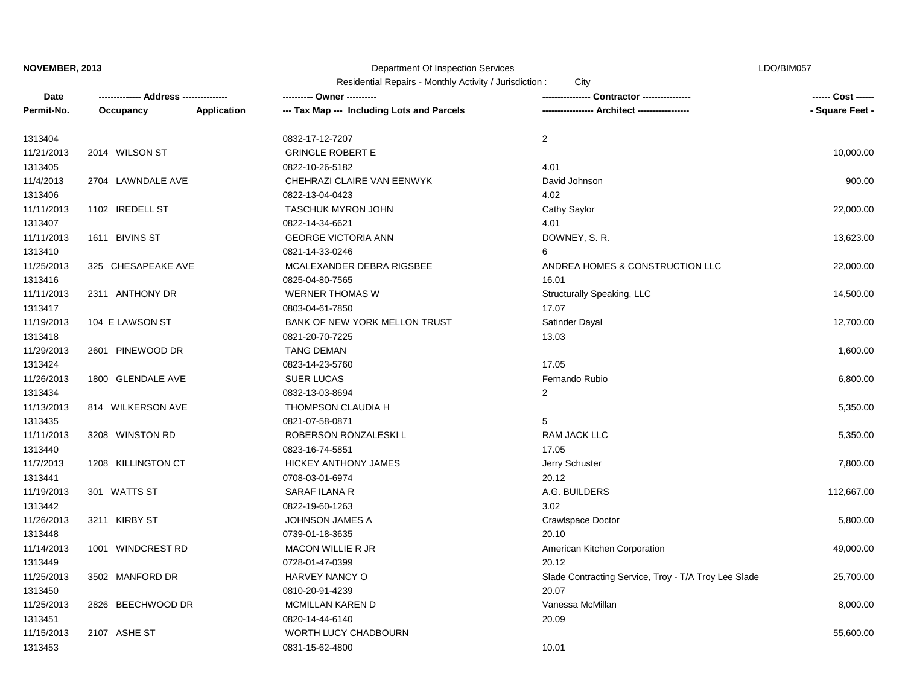# Department Of Inspection Services

| Residential Repairs - Monthly Activity / Jurisdiction : |  |  | City |
|---------------------------------------------------------|--|--|------|
|---------------------------------------------------------|--|--|------|

| Date       |                    |                    | is condential is epairs - monting Activity / Julisuiction.<br>---------- Owner ---------- | URV                                                  | ------ Cost ------ |
|------------|--------------------|--------------------|-------------------------------------------------------------------------------------------|------------------------------------------------------|--------------------|
| Permit-No. | Occupancy          | <b>Application</b> | --- Tax Map --- Including Lots and Parcels                                                | ---------------- Architect ----------------          | - Square Feet -    |
|            |                    |                    |                                                                                           |                                                      |                    |
| 1313404    |                    |                    | 0832-17-12-7207                                                                           | $\overline{2}$                                       |                    |
| 11/21/2013 | 2014 WILSON ST     |                    | <b>GRINGLE ROBERT E</b>                                                                   |                                                      | 10,000.00          |
| 1313405    |                    |                    | 0822-10-26-5182                                                                           | 4.01                                                 |                    |
| 11/4/2013  | 2704 LAWNDALE AVE  |                    | CHEHRAZI CLAIRE VAN EENWYK                                                                | David Johnson                                        | 900.00             |
| 1313406    |                    |                    | 0822-13-04-0423                                                                           | 4.02                                                 |                    |
| 11/11/2013 | 1102 IREDELL ST    |                    | <b>TASCHUK MYRON JOHN</b>                                                                 | Cathy Saylor                                         | 22,000.00          |
| 1313407    |                    |                    | 0822-14-34-6621                                                                           | 4.01                                                 |                    |
| 11/11/2013 | 1611 BIVINS ST     |                    | <b>GEORGE VICTORIA ANN</b>                                                                | DOWNEY, S. R.                                        | 13,623.00          |
| 1313410    |                    |                    | 0821-14-33-0246                                                                           | 6                                                    |                    |
| 11/25/2013 | 325 CHESAPEAKE AVE |                    | MCALEXANDER DEBRA RIGSBEE                                                                 | ANDREA HOMES & CONSTRUCTION LLC                      | 22,000.00          |
| 1313416    |                    |                    | 0825-04-80-7565                                                                           | 16.01                                                |                    |
| 11/11/2013 | 2311 ANTHONY DR    |                    | <b>WERNER THOMAS W</b>                                                                    | Structurally Speaking, LLC                           | 14,500.00          |
| 1313417    |                    |                    | 0803-04-61-7850                                                                           | 17.07                                                |                    |
| 11/19/2013 | 104 E LAWSON ST    |                    | BANK OF NEW YORK MELLON TRUST                                                             | Satinder Dayal                                       | 12,700.00          |
| 1313418    |                    |                    | 0821-20-70-7225                                                                           | 13.03                                                |                    |
| 11/29/2013 | 2601 PINEWOOD DR   |                    | <b>TANG DEMAN</b>                                                                         |                                                      | 1,600.00           |
| 1313424    |                    |                    | 0823-14-23-5760                                                                           | 17.05                                                |                    |
| 11/26/2013 | 1800 GLENDALE AVE  |                    | <b>SUER LUCAS</b>                                                                         | Fernando Rubio                                       | 6,800.00           |
| 1313434    |                    |                    | 0832-13-03-8694                                                                           | 2                                                    |                    |
| 11/13/2013 | 814 WILKERSON AVE  |                    | THOMPSON CLAUDIA H                                                                        |                                                      | 5,350.00           |
| 1313435    |                    |                    | 0821-07-58-0871                                                                           | 5                                                    |                    |
| 11/11/2013 | 3208 WINSTON RD    |                    | ROBERSON RONZALESKI L                                                                     | RAM JACK LLC                                         | 5,350.00           |
| 1313440    |                    |                    | 0823-16-74-5851                                                                           | 17.05                                                |                    |
| 11/7/2013  | 1208 KILLINGTON CT |                    | <b>HICKEY ANTHONY JAMES</b>                                                               | Jerry Schuster                                       | 7,800.00           |
| 1313441    |                    |                    | 0708-03-01-6974                                                                           | 20.12                                                |                    |
| 11/19/2013 | 301 WATTS ST       |                    | <b>SARAF ILANA R</b>                                                                      | A.G. BUILDERS                                        | 112,667.00         |
| 1313442    |                    |                    | 0822-19-60-1263                                                                           | 3.02                                                 |                    |
| 11/26/2013 | 3211 KIRBY ST      |                    | <b>JOHNSON JAMES A</b>                                                                    | Crawlspace Doctor                                    | 5,800.00           |
| 1313448    |                    |                    | 0739-01-18-3635                                                                           | 20.10                                                |                    |
| 11/14/2013 | 1001 WINDCREST RD  |                    | <b>MACON WILLIE R JR</b>                                                                  | American Kitchen Corporation                         | 49,000.00          |
| 1313449    |                    |                    | 0728-01-47-0399                                                                           | 20.12                                                |                    |
| 11/25/2013 | 3502 MANFORD DR    |                    | HARVEY NANCY O                                                                            | Slade Contracting Service, Troy - T/A Troy Lee Slade | 25,700.00          |
| 1313450    |                    |                    | 0810-20-91-4239                                                                           | 20.07                                                |                    |
| 11/25/2013 | 2826 BEECHWOOD DR  |                    | MCMILLAN KAREN D                                                                          | Vanessa McMillan                                     | 8,000.00           |
| 1313451    |                    |                    | 0820-14-44-6140                                                                           | 20.09                                                |                    |
| 11/15/2013 | 2107 ASHE ST       |                    | <b>WORTH LUCY CHADBOURN</b>                                                               |                                                      | 55,600.00          |
| 1313453    |                    |                    | 0831-15-62-4800                                                                           | 10.01                                                |                    |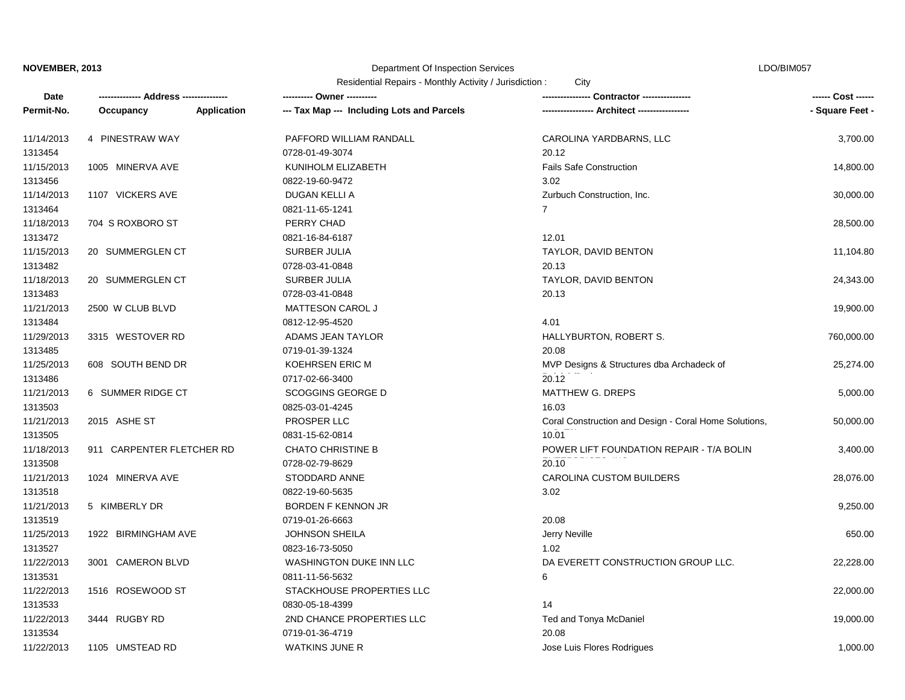# Department Of Inspection Services

| Residential Repairs - Monthly Activity / Jurisdiction : |  |  |  | City |
|---------------------------------------------------------|--|--|--|------|
|---------------------------------------------------------|--|--|--|------|

| Date       |                           |                    | ---------- Owner ----------                |                                                       | ------ Cost ------ |
|------------|---------------------------|--------------------|--------------------------------------------|-------------------------------------------------------|--------------------|
| Permit-No. | Occupancy                 | <b>Application</b> | --- Tax Map --- Including Lots and Parcels | - Architect -----------------                         | - Square Feet -    |
| 11/14/2013 | 4 PINESTRAW WAY           |                    | PAFFORD WILLIAM RANDALL                    | CAROLINA YARDBARNS, LLC                               | 3,700.00           |
| 1313454    |                           |                    | 0728-01-49-3074                            | 20.12                                                 |                    |
| 11/15/2013 | 1005 MINERVA AVE          |                    | KUNIHOLM ELIZABETH                         | <b>Fails Safe Construction</b>                        | 14,800.00          |
| 1313456    |                           |                    | 0822-19-60-9472                            | 3.02                                                  |                    |
| 11/14/2013 | 1107 VICKERS AVE          |                    | DUGAN KELLI A                              | Zurbuch Construction, Inc.                            | 30,000.00          |
| 1313464    |                           |                    | 0821-11-65-1241                            | $\overline{7}$                                        |                    |
| 11/18/2013 | 704 S ROXBORO ST          |                    | PERRY CHAD                                 |                                                       | 28,500.00          |
| 1313472    |                           |                    | 0821-16-84-6187                            | 12.01                                                 |                    |
| 11/15/2013 | 20 SUMMERGLEN CT          |                    | SURBER JULIA                               | TAYLOR, DAVID BENTON                                  | 11,104.80          |
| 1313482    |                           |                    | 0728-03-41-0848                            | 20.13                                                 |                    |
| 11/18/2013 | 20 SUMMERGLEN CT          |                    | SURBER JULIA                               | TAYLOR, DAVID BENTON                                  | 24,343.00          |
| 1313483    |                           |                    | 0728-03-41-0848                            | 20.13                                                 |                    |
| 11/21/2013 | 2500 W CLUB BLVD          |                    | MATTESON CAROL J                           |                                                       | 19,900.00          |
| 1313484    |                           |                    | 0812-12-95-4520                            | 4.01                                                  |                    |
| 11/29/2013 | 3315 WESTOVER RD          |                    | ADAMS JEAN TAYLOR                          | HALLYBURTON, ROBERT S.                                | 760,000.00         |
| 1313485    |                           |                    | 0719-01-39-1324                            | 20.08                                                 |                    |
| 11/25/2013 | 608 SOUTH BEND DR         |                    | KOEHRSEN ERIC M                            | MVP Designs & Structures dba Archadeck of             | 25,274.00          |
| 1313486    |                           |                    | 0717-02-66-3400                            | 20.12                                                 |                    |
| 11/21/2013 | 6 SUMMER RIDGE CT         |                    | <b>SCOGGINS GEORGE D</b>                   | MATTHEW G. DREPS                                      | 5,000.00           |
| 1313503    |                           |                    | 0825-03-01-4245                            | 16.03                                                 |                    |
| 11/21/2013 | 2015 ASHE ST              |                    | <b>PROSPER LLC</b>                         | Coral Construction and Design - Coral Home Solutions, | 50,000.00          |
| 1313505    |                           |                    | 0831-15-62-0814                            | 10.01                                                 |                    |
| 11/18/2013 | 911 CARPENTER FLETCHER RD |                    | <b>CHATO CHRISTINE B</b>                   | POWER LIFT FOUNDATION REPAIR - T/A BOLIN              | 3,400.00           |
| 1313508    |                           |                    | 0728-02-79-8629                            | 20.10                                                 |                    |
| 11/21/2013 | 1024 MINERVA AVE          |                    | STODDARD ANNE                              | <b>CAROLINA CUSTOM BUILDERS</b>                       | 28,076.00          |
| 1313518    |                           |                    | 0822-19-60-5635                            | 3.02                                                  |                    |
| 11/21/2013 | 5 KIMBERLY DR             |                    | <b>BORDEN F KENNON JR</b>                  |                                                       | 9,250.00           |
| 1313519    |                           |                    | 0719-01-26-6663                            | 20.08                                                 |                    |
| 11/25/2013 | 1922 BIRMINGHAM AVE       |                    | <b>JOHNSON SHEILA</b>                      | Jerry Neville                                         | 650.00             |
| 1313527    |                           |                    | 0823-16-73-5050                            | 1.02                                                  |                    |
| 11/22/2013 | 3001 CAMERON BLVD         |                    | WASHINGTON DUKE INN LLC                    | DA EVERETT CONSTRUCTION GROUP LLC.                    | 22,228.00          |
| 1313531    |                           |                    | 0811-11-56-5632                            | 6                                                     |                    |
| 11/22/2013 | 1516 ROSEWOOD ST          |                    | STACKHOUSE PROPERTIES LLC                  |                                                       | 22,000.00          |
| 1313533    |                           |                    | 0830-05-18-4399                            | 14                                                    |                    |
| 11/22/2013 | 3444 RUGBY RD             |                    | 2ND CHANCE PROPERTIES LLC                  | Ted and Tonya McDaniel                                | 19,000.00          |
| 1313534    |                           |                    | 0719-01-36-4719                            | 20.08                                                 |                    |
| 11/22/2013 | 1105 UMSTEAD RD           |                    | <b>WATKINS JUNE R</b>                      | Jose Luis Flores Rodrigues                            | 1,000.00           |